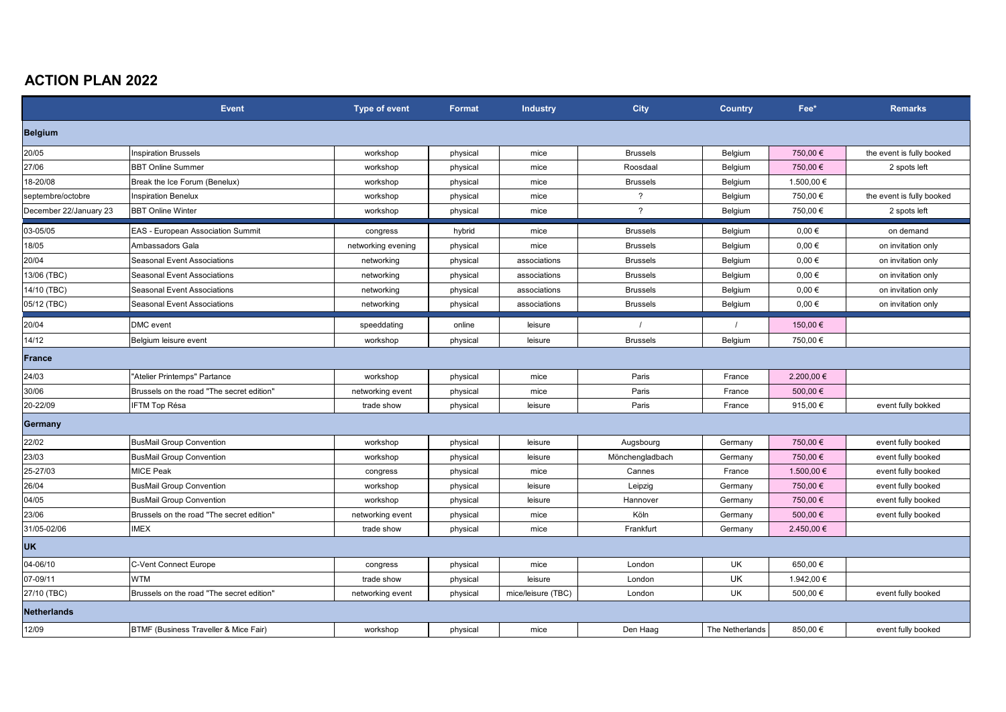## **ACTION PLAN 2022**

|                        | <b>Event</b>                              | <b>Type of event</b> | <b>Format</b> | <b>Industry</b>    | <b>City</b>     | <b>Country</b>  | Fee*       | <b>Remarks</b>            |
|------------------------|-------------------------------------------|----------------------|---------------|--------------------|-----------------|-----------------|------------|---------------------------|
| <b>Belgium</b>         |                                           |                      |               |                    |                 |                 |            |                           |
| 20/05                  | <b>Inspiration Brussels</b>               | workshop             | physical      | mice               | <b>Brussels</b> | Belgium         | 750,00 €   | the event is fully booked |
| 27/06                  | <b>BBT Online Summer</b>                  | workshop             | physical      | mice               | Roosdaal        | Belgium         | 750,00 €   | 2 spots left              |
| 18-20/08               | Break the Ice Forum (Benelux)             | workshop             | physical      | mice               | <b>Brussels</b> | Belgium         | 1.500,00 € |                           |
| septembre/octobre      | <b>Inspiration Benelux</b>                | workshop             | physical      | mice               | $\overline{?}$  | Belgium         | 750,00€    | the event is fully booked |
| December 22/January 23 | <b>BBT Online Winter</b>                  | workshop             | physical      | mice               | $\overline{?}$  | Belgium         | 750,00 €   | 2 spots left              |
| 03-05/05               | EAS - European Association Summit         | congress             | hybrid        | mice               | <b>Brussels</b> | Belgium         | $0,00 \in$ | on demand                 |
| 18/05                  | Ambassadors Gala                          | networking evening   | physical      | mice               | <b>Brussels</b> | Belgium         | $0,00 \in$ | on invitation only        |
| 20/04                  | <b>Seasonal Event Associations</b>        | networking           | physical      | associations       | <b>Brussels</b> | Belgium         | 0,00€      | on invitation only        |
| 13/06 (TBC)            | <b>Seasonal Event Associations</b>        | networking           | physical      | associations       | <b>Brussels</b> | Belgium         | $0,00 \in$ | on invitation only        |
| 14/10 (TBC)            | <b>Seasonal Event Associations</b>        | networking           | physical      | associations       | <b>Brussels</b> | Belgium         | $0.00 \in$ | on invitation only        |
| 05/12 (TBC)            | <b>Seasonal Event Associations</b>        | networking           | physical      | associations       | <b>Brussels</b> | Belgium         | $0,00 \in$ | on invitation only        |
| 20/04                  | <b>DMC</b> event                          | speeddating          | online        | leisure            |                 | $\prime$        | 150,00€    |                           |
| 14/12                  | Belgium leisure event                     | workshop             | physical      | leisure            | <b>Brussels</b> | Belgium         | 750,00€    |                           |
| <b>France</b>          |                                           |                      |               |                    |                 |                 |            |                           |
| 24/03                  | 'Atelier Printemps" Partance              | workshop             | physical      | mice               | Paris           | France          | 2.200,00 € |                           |
| 30/06                  | Brussels on the road "The secret edition" | networking event     | physical      | mice               | Paris           | France          | 500,00€    |                           |
| 20-22/09               | <b>IFTM Top Résa</b>                      | trade show           | physical      | leisure            | Paris           | France          | 915,00€    | event fully bokked        |
| Germany                |                                           |                      |               |                    |                 |                 |            |                           |
| 22/02                  | <b>BusMail Group Convention</b>           | workshop             | physical      | leisure            | Augsbourg       | Germany         | 750,00 €   | event fully booked        |
| 23/03                  | <b>BusMail Group Convention</b>           | workshop             | physical      | leisure            | Mönchengladbach | Germany         | 750,00€    | event fully booked        |
| 25-27/03               | <b>MICE Peak</b>                          | congress             | physical      | mice               | Cannes          | France          | 1.500,00 € | event fully booked        |
| 26/04                  | <b>BusMail Group Convention</b>           | workshop             | physical      | leisure            | Leipzig         | Germany         | 750,00 €   | event fully booked        |
| 04/05                  | <b>BusMail Group Convention</b>           | workshop             | physical      | leisure            | Hannover        | Germany         | 750,00 €   | event fully booked        |
| 23/06                  | Brussels on the road "The secret edition" | networking event     | physical      | mice               | Köln            | Germany         | 500,00 €   | event fully booked        |
| 31/05-02/06            | <b>IMEX</b>                               | trade show           | physical      | mice               | Frankfurt       | Germany         | 2.450,00 € |                           |
| <b>UK</b>              |                                           |                      |               |                    |                 |                 |            |                           |
| 04-06/10               | <b>C-Vent Connect Europe</b>              | congress             | physical      | mice               | London          | UK              | 650,00€    |                           |
| 07-09/11               | <b>WTM</b>                                | trade show           | physical      | leisure            | London          | UK              | 1.942,00 € |                           |
| 27/10 (TBC)            | Brussels on the road "The secret edition" | networking event     | physical      | mice/leisure (TBC) | London          | UK              | 500,00€    | event fully booked        |
| <b>Netherlands</b>     |                                           |                      |               |                    |                 |                 |            |                           |
| 12/09                  | BTMF (Business Traveller & Mice Fair)     | workshop             | physical      | mice               | Den Haag        | The Netherlands | 850,00€    | event fully booked        |